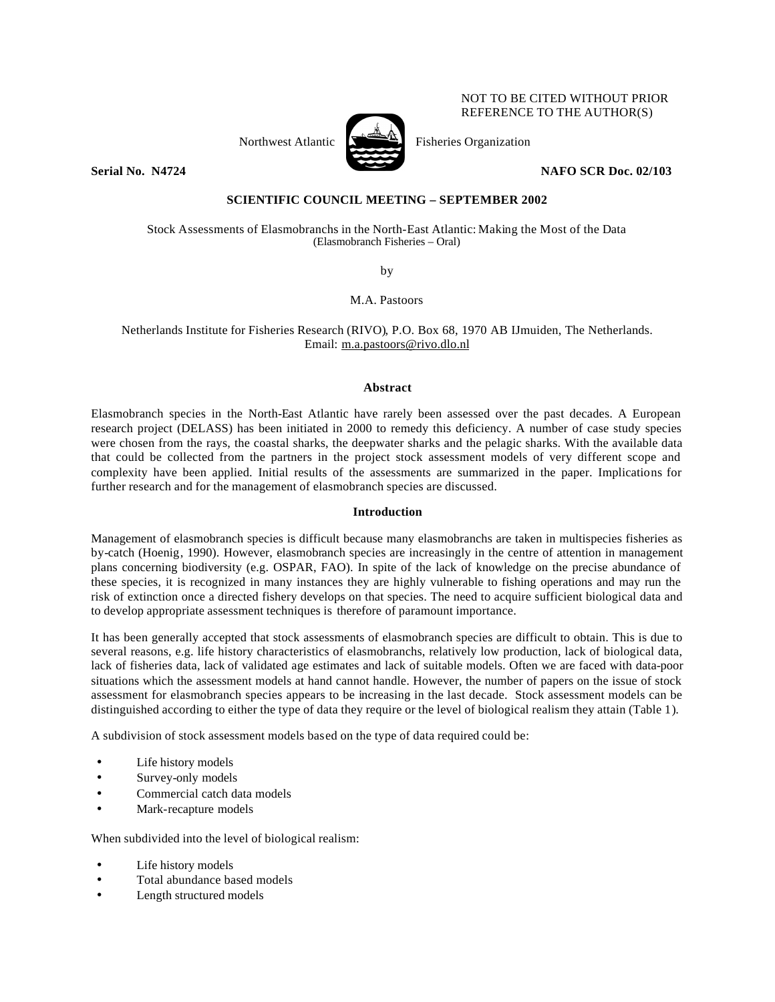

NOT TO BE CITED WITHOUT PRIOR REFERENCE TO THE AUTHOR(S)

**Serial No. N4724 NAFO SCR Doc. 02/103**

# **SCIENTIFIC COUNCIL MEETING – SEPTEMBER 2002**

Stock Assessments of Elasmobranchs in the North-East Atlantic: Making the Most of the Data (Elasmobranch Fisheries – Oral)

by

M.A. Pastoors

Netherlands Institute for Fisheries Research (RIVO), P.O. Box 68, 1970 AB IJmuiden, The Netherlands. Email: m.a.pastoors@rivo.dlo.nl

## **Abstract**

Elasmobranch species in the North-East Atlantic have rarely been assessed over the past decades. A European research project (DELASS) has been initiated in 2000 to remedy this deficiency. A number of case study species were chosen from the rays, the coastal sharks, the deepwater sharks and the pelagic sharks. With the available data that could be collected from the partners in the project stock assessment models of very different scope and complexity have been applied. Initial results of the assessments are summarized in the paper. Implications for further research and for the management of elasmobranch species are discussed.

# **Introduction**

Management of elasmobranch species is difficult because many elasmobranchs are taken in multispecies fisheries as by-catch (Hoenig, 1990). However, elasmobranch species are increasingly in the centre of attention in management plans concerning biodiversity (e.g. OSPAR, FAO). In spite of the lack of knowledge on the precise abundance of these species, it is recognized in many instances they are highly vulnerable to fishing operations and may run the risk of extinction once a directed fishery develops on that species. The need to acquire sufficient biological data and to develop appropriate assessment techniques is therefore of paramount importance.

It has been generally accepted that stock assessments of elasmobranch species are difficult to obtain. This is due to several reasons, e.g. life history characteristics of elasmobranchs, relatively low production, lack of biological data, lack of fisheries data, lack of validated age estimates and lack of suitable models. Often we are faced with data-poor situations which the assessment models at hand cannot handle. However, the number of papers on the issue of stock assessment for elasmobranch species appears to be increasing in the last decade. Stock assessment models can be distinguished according to either the type of data they require or the level of biological realism they attain (Table 1).

A subdivision of stock assessment models based on the type of data required could be:

- Life history models
- Survey-only models
- Commercial catch data models
- Mark-recapture models

When subdivided into the level of biological realism:

- Life history models
- Total abundance based models
- Length structured models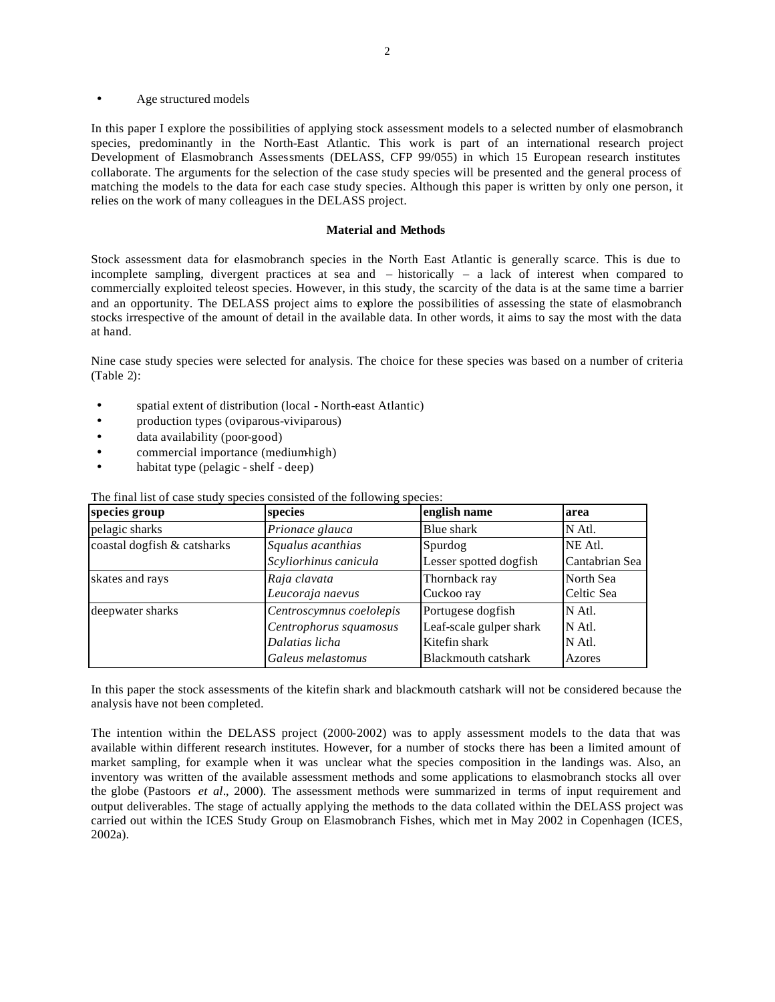Age structured models

In this paper I explore the possibilities of applying stock assessment models to a selected number of elasmobranch species, predominantly in the North-East Atlantic. This work is part of an international research project Development of Elasmobranch Assessments (DELASS, CFP 99/055) in which 15 European research institutes collaborate. The arguments for the selection of the case study species will be presented and the general process of matching the models to the data for each case study species. Although this paper is written by only one person, it relies on the work of many colleagues in the DELASS project.

#### **Material and Methods**

Stock assessment data for elasmobranch species in the North East Atlantic is generally scarce. This is due to incomplete sampling, divergent practices at sea and – historically – a lack of interest when compared to commercially exploited teleost species. However, in this study, the scarcity of the data is at the same time a barrier and an opportunity. The DELASS project aims to explore the possibilities of assessing the state of elasmobranch stocks irrespective of the amount of detail in the available data. In other words, it aims to say the most with the data at hand.

Nine case study species were selected for analysis. The choice for these species was based on a number of criteria (Table 2):

- spatial extent of distribution (local North-east Atlantic)
- production types (oviparous-viviparous)
- data availability (poor-good)
- commercial importance (medium-high)
- habitat type (pelagic shelf deep)

| species group               | species                  | english name            | area           |
|-----------------------------|--------------------------|-------------------------|----------------|
| pelagic sharks              | Prionace glauca          | Blue shark              | N Atl.         |
| coastal dogfish & catsharks | Squalus acanthias        | Spurdog                 | NE Atl.        |
|                             | Scyliorhinus canicula    | Lesser spotted dogfish  | Cantabrian Sea |
| skates and rays             | Raja clavata             | Thornback ray           | North Sea      |
|                             | Leucoraja naevus         | Cuckoo ray              | Celtic Sea     |
| deepwater sharks            | Centroscymnus coelolepis | Portugese dogfish       | N Atl.         |
|                             | Centrophorus squamosus   | Leaf-scale gulper shark | N Atl.         |
|                             | Dalatias licha           | Kitefin shark           | N Atl.         |
|                             | Galeus melastomus        | Blackmouth catshark     | Azores         |

The final list of case study species consisted of the following species:

In this paper the stock assessments of the kitefin shark and blackmouth catshark will not be considered because the analysis have not been completed.

The intention within the DELASS project (2000-2002) was to apply assessment models to the data that was available within different research institutes. However, for a number of stocks there has been a limited amount of market sampling, for example when it was unclear what the species composition in the landings was. Also, an inventory was written of the available assessment methods and some applications to elasmobranch stocks all over the globe (Pastoors *et al*., 2000). The assessment methods were summarized in terms of input requirement and output deliverables. The stage of actually applying the methods to the data collated within the DELASS project was carried out within the ICES Study Group on Elasmobranch Fishes, which met in May 2002 in Copenhagen (ICES, 2002a).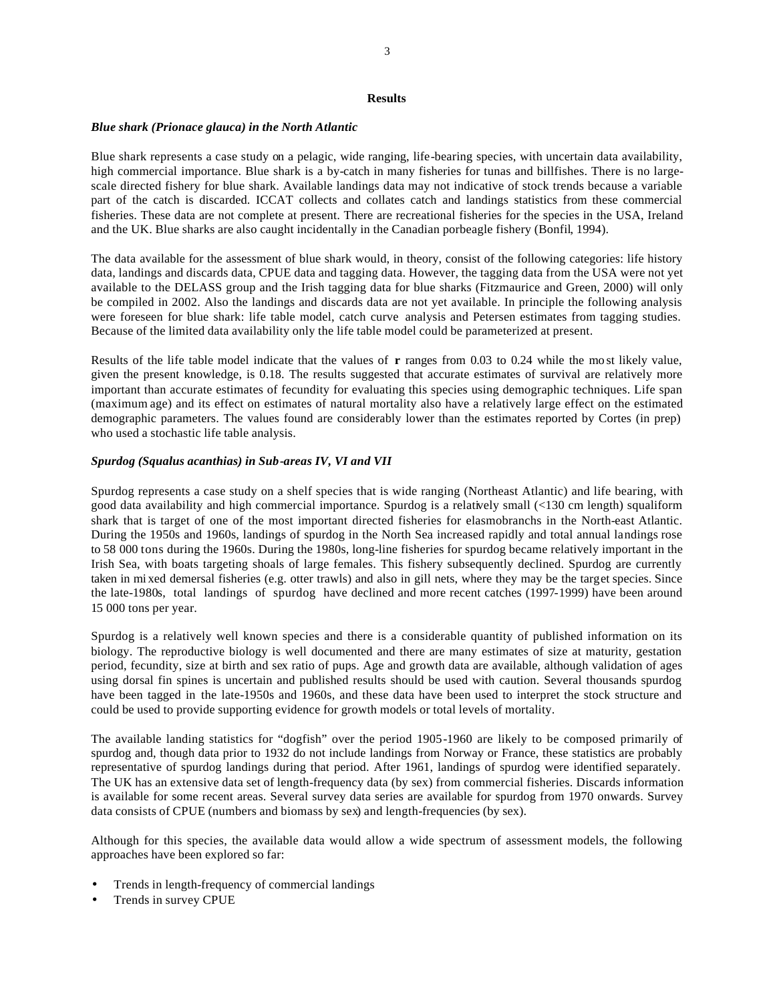### **Results**

#### *Blue shark (Prionace glauca) in the North Atlantic*

Blue shark represents a case study on a pelagic, wide ranging, life-bearing species, with uncertain data availability, high commercial importance. Blue shark is a by-catch in many fisheries for tunas and billfishes. There is no largescale directed fishery for blue shark. Available landings data may not indicative of stock trends because a variable part of the catch is discarded. ICCAT collects and collates catch and landings statistics from these commercial fisheries. These data are not complete at present. There are recreational fisheries for the species in the USA, Ireland and the UK. Blue sharks are also caught incidentally in the Canadian porbeagle fishery (Bonfil, 1994).

The data available for the assessment of blue shark would, in theory, consist of the following categories: life history data, landings and discards data, CPUE data and tagging data. However, the tagging data from the USA were not yet available to the DELASS group and the Irish tagging data for blue sharks (Fitzmaurice and Green, 2000) will only be compiled in 2002. Also the landings and discards data are not yet available. In principle the following analysis were foreseen for blue shark: life table model, catch curve analysis and Petersen estimates from tagging studies. Because of the limited data availability only the life table model could be parameterized at present.

Results of the life table model indicate that the values of **r** ranges from 0.03 to 0.24 while the mo st likely value, given the present knowledge, is 0.18. The results suggested that accurate estimates of survival are relatively more important than accurate estimates of fecundity for evaluating this species using demographic techniques. Life span (maximum age) and its effect on estimates of natural mortality also have a relatively large effect on the estimated demographic parameters. The values found are considerably lower than the estimates reported by Cortes (in prep) who used a stochastic life table analysis.

## *Spurdog (Squalus acanthias) in Sub-areas IV, VI and VII*

Spurdog represents a case study on a shelf species that is wide ranging (Northeast Atlantic) and life bearing, with good data availability and high commercial importance. Spurdog is a relatively small (<130 cm length) squaliform shark that is target of one of the most important directed fisheries for elasmobranchs in the North-east Atlantic. During the 1950s and 1960s, landings of spurdog in the North Sea increased rapidly and total annual landings rose to 58 000 tons during the 1960s. During the 1980s, long-line fisheries for spurdog became relatively important in the Irish Sea, with boats targeting shoals of large females. This fishery subsequently declined. Spurdog are currently taken in mi xed demersal fisheries (e.g. otter trawls) and also in gill nets, where they may be the target species. Since the late-1980s, total landings of spurdog have declined and more recent catches (1997-1999) have been around 15 000 tons per year.

Spurdog is a relatively well known species and there is a considerable quantity of published information on its biology. The reproductive biology is well documented and there are many estimates of size at maturity, gestation period, fecundity, size at birth and sex ratio of pups. Age and growth data are available, although validation of ages using dorsal fin spines is uncertain and published results should be used with caution. Several thousands spurdog have been tagged in the late-1950s and 1960s, and these data have been used to interpret the stock structure and could be used to provide supporting evidence for growth models or total levels of mortality.

The available landing statistics for "dogfish" over the period 1905-1960 are likely to be composed primarily of spurdog and, though data prior to 1932 do not include landings from Norway or France, these statistics are probably representative of spurdog landings during that period. After 1961, landings of spurdog were identified separately. The UK has an extensive data set of length-frequency data (by sex) from commercial fisheries. Discards information is available for some recent areas. Several survey data series are available for spurdog from 1970 onwards. Survey data consists of CPUE (numbers and biomass by sex) and length-frequencies (by sex).

Although for this species, the available data would allow a wide spectrum of assessment models, the following approaches have been explored so far:

- Trends in length-frequency of commercial landings
- Trends in survey CPUE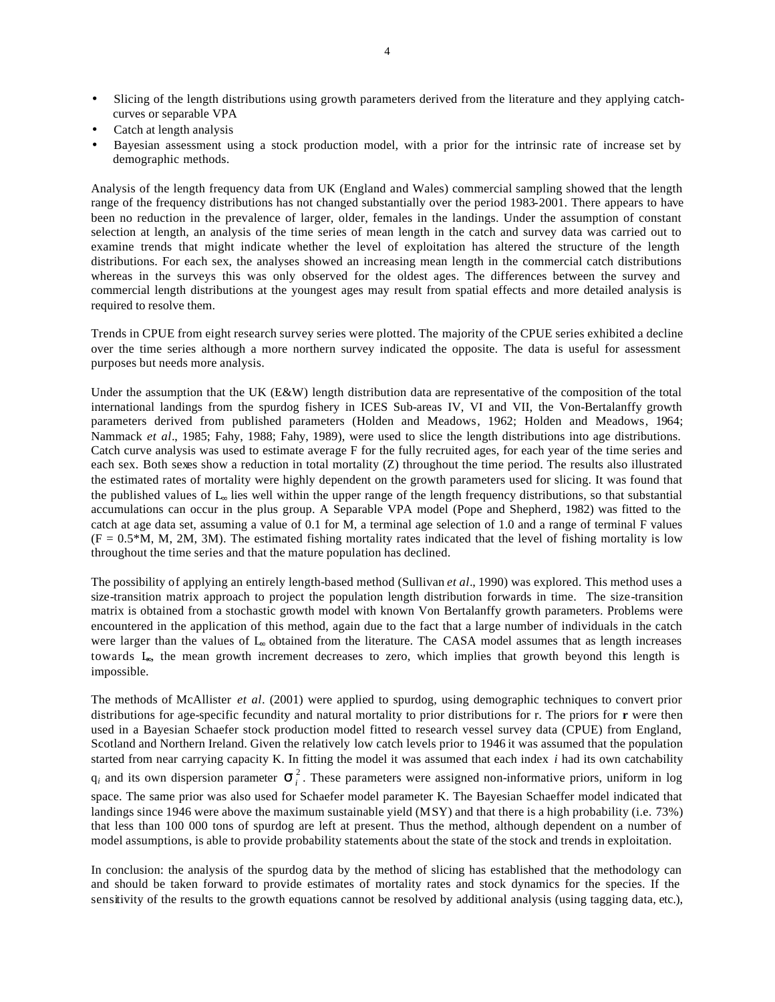- Slicing of the length distributions using growth parameters derived from the literature and they applying catchcurves or separable VPA
- Catch at length analysis
- Bayesian assessment using a stock production model, with a prior for the intrinsic rate of increase set by demographic methods.

Analysis of the length frequency data from UK (England and Wales) commercial sampling showed that the length range of the frequency distributions has not changed substantially over the period 1983-2001. There appears to have been no reduction in the prevalence of larger, older, females in the landings. Under the assumption of constant selection at length, an analysis of the time series of mean length in the catch and survey data was carried out to examine trends that might indicate whether the level of exploitation has altered the structure of the length distributions. For each sex, the analyses showed an increasing mean length in the commercial catch distributions whereas in the surveys this was only observed for the oldest ages. The differences between the survey and commercial length distributions at the youngest ages may result from spatial effects and more detailed analysis is required to resolve them.

Trends in CPUE from eight research survey series were plotted. The majority of the CPUE series exhibited a decline over the time series although a more northern survey indicated the opposite. The data is useful for assessment purposes but needs more analysis.

Under the assumption that the UK (E&W) length distribution data are representative of the composition of the total international landings from the spurdog fishery in ICES Sub-areas IV, VI and VII, the Von-Bertalanffy growth parameters derived from published parameters (Holden and Meadows, 1962; Holden and Meadows, 1964; Nammack *et al*., 1985; Fahy, 1988; Fahy, 1989), were used to slice the length distributions into age distributions. Catch curve analysis was used to estimate average F for the fully recruited ages, for each year of the time series and each sex. Both sexes show a reduction in total mortality (Z) throughout the time period. The results also illustrated the estimated rates of mortality were highly dependent on the growth parameters used for slicing. It was found that the published values of L∞ lies well within the upper range of the length frequency distributions, so that substantial accumulations can occur in the plus group. A Separable VPA model (Pope and Shepherd, 1982) was fitted to the catch at age data set, assuming a value of 0.1 for M, a terminal age selection of 1.0 and a range of terminal F values  $(F = 0.5*M, M, 2M, 3M)$ . The estimated fishing mortality rates indicated that the level of fishing mortality is low throughout the time series and that the mature population has declined.

The possibility of applying an entirely length-based method (Sullivan *et al*., 1990) was explored. This method uses a size-transition matrix approach to project the population length distribution forwards in time. The size-transition matrix is obtained from a stochastic growth model with known Von Bertalanffy growth parameters. Problems were encountered in the application of this method, again due to the fact that a large number of individuals in the catch were larger than the values of L<sub>∞</sub> obtained from the literature. The CASA model assumes that as length increases towards L∞, the mean growth increment decreases to zero, which implies that growth beyond this length is impossible.

The methods of McAllister *et al*. (2001) were applied to spurdog, using demographic techniques to convert prior distributions for age-specific fecundity and natural mortality to prior distributions for r. The priors for **r** were then used in a Bayesian Schaefer stock production model fitted to research vessel survey data (CPUE) from England, Scotland and Northern Ireland. Given the relatively low catch levels prior to 1946 it was assumed that the population started from near carrying capacity K. In fitting the model it was assumed that each index *i* had its own catchability  $q_i$  and its own dispersion parameter  $S_i^2$ . These parameters were assigned non-informative priors, uniform in log space. The same prior was also used for Schaefer model parameter K. The Bayesian Schaeffer model indicated that landings since 1946 were above the maximum sustainable yield (MSY) and that there is a high probability (i.e. 73%) that less than 100 000 tons of spurdog are left at present. Thus the method, although dependent on a number of model assumptions, is able to provide probability statements about the state of the stock and trends in exploitation.

In conclusion: the analysis of the spurdog data by the method of slicing has established that the methodology can and should be taken forward to provide estimates of mortality rates and stock dynamics for the species. If the sensitivity of the results to the growth equations cannot be resolved by additional analysis (using tagging data, etc.),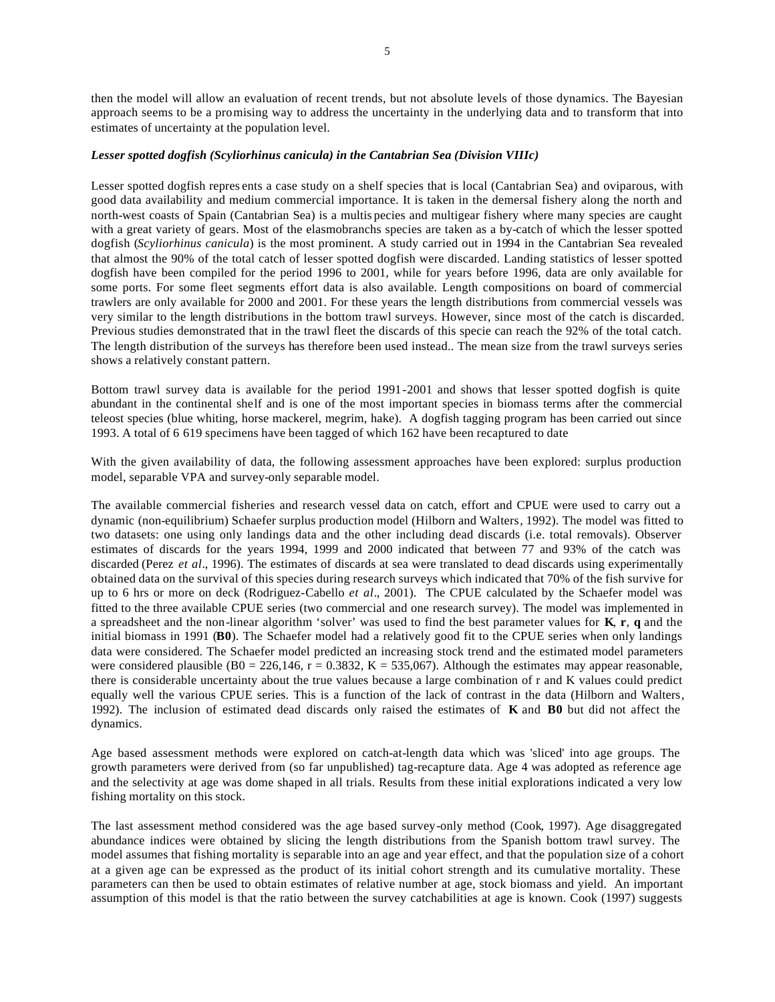then the model will allow an evaluation of recent trends, but not absolute levels of those dynamics. The Bayesian approach seems to be a promising way to address the uncertainty in the underlying data and to transform that into estimates of uncertainty at the population level.

#### *Lesser spotted dogfish (Scyliorhinus canicula) in the Cantabrian Sea (Division VIIIc)*

Lesser spotted dogfish repres ents a case study on a shelf species that is local (Cantabrian Sea) and oviparous, with good data availability and medium commercial importance. It is taken in the demersal fishery along the north and north-west coasts of Spain (Cantabrian Sea) is a multis pecies and multigear fishery where many species are caught with a great variety of gears. Most of the elasmobranchs species are taken as a by-catch of which the lesser spotted dogfish (*Scyliorhinus canicula*) is the most prominent. A study carried out in 1994 in the Cantabrian Sea revealed that almost the 90% of the total catch of lesser spotted dogfish were discarded. Landing statistics of lesser spotted dogfish have been compiled for the period 1996 to 2001, while for years before 1996, data are only available for some ports. For some fleet segments effort data is also available. Length compositions on board of commercial trawlers are only available for 2000 and 2001. For these years the length distributions from commercial vessels was very similar to the length distributions in the bottom trawl surveys. However, since most of the catch is discarded. Previous studies demonstrated that in the trawl fleet the discards of this specie can reach the 92% of the total catch. The length distribution of the surveys has therefore been used instead.. The mean size from the trawl surveys series shows a relatively constant pattern.

Bottom trawl survey data is available for the period 1991-2001 and shows that lesser spotted dogfish is quite abundant in the continental shelf and is one of the most important species in biomass terms after the commercial teleost species (blue whiting, horse mackerel, megrim, hake). A dogfish tagging program has been carried out since 1993. A total of 6 619 specimens have been tagged of which 162 have been recaptured to date

With the given availability of data, the following assessment approaches have been explored: surplus production model, separable VPA and survey-only separable model.

The available commercial fisheries and research vessel data on catch, effort and CPUE were used to carry out a dynamic (non-equilibrium) Schaefer surplus production model (Hilborn and Walters, 1992). The model was fitted to two datasets: one using only landings data and the other including dead discards (i.e. total removals). Observer estimates of discards for the years 1994, 1999 and 2000 indicated that between 77 and 93% of the catch was discarded (Perez *et al*., 1996). The estimates of discards at sea were translated to dead discards using experimentally obtained data on the survival of this species during research surveys which indicated that 70% of the fish survive for up to 6 hrs or more on deck (Rodriguez-Cabello *et al*., 2001). The CPUE calculated by the Schaefer model was fitted to the three available CPUE series (two commercial and one research survey). The model was implemented in a spreadsheet and the non-linear algorithm 'solver' was used to find the best parameter values for **K**, **r**, **q** and the initial biomass in 1991 (**B0**). The Schaefer model had a relatively good fit to the CPUE series when only landings data were considered. The Schaefer model predicted an increasing stock trend and the estimated model parameters were considered plausible (B0 = 226,146, r = 0.3832, K = 535,067). Although the estimates may appear reasonable, there is considerable uncertainty about the true values because a large combination of r and K values could predict equally well the various CPUE series. This is a function of the lack of contrast in the data (Hilborn and Walters, 1992). The inclusion of estimated dead discards only raised the estimates of **K** and **B0** but did not affect the dynamics.

Age based assessment methods were explored on catch-at-length data which was 'sliced' into age groups. The growth parameters were derived from (so far unpublished) tag-recapture data. Age 4 was adopted as reference age and the selectivity at age was dome shaped in all trials. Results from these initial explorations indicated a very low fishing mortality on this stock.

The last assessment method considered was the age based survey-only method (Cook, 1997). Age disaggregated abundance indices were obtained by slicing the length distributions from the Spanish bottom trawl survey. The model assumes that fishing mortality is separable into an age and year effect, and that the population size of a cohort at a given age can be expressed as the product of its initial cohort strength and its cumulative mortality. These parameters can then be used to obtain estimates of relative number at age, stock biomass and yield. An important assumption of this model is that the ratio between the survey catchabilities at age is known. Cook (1997) suggests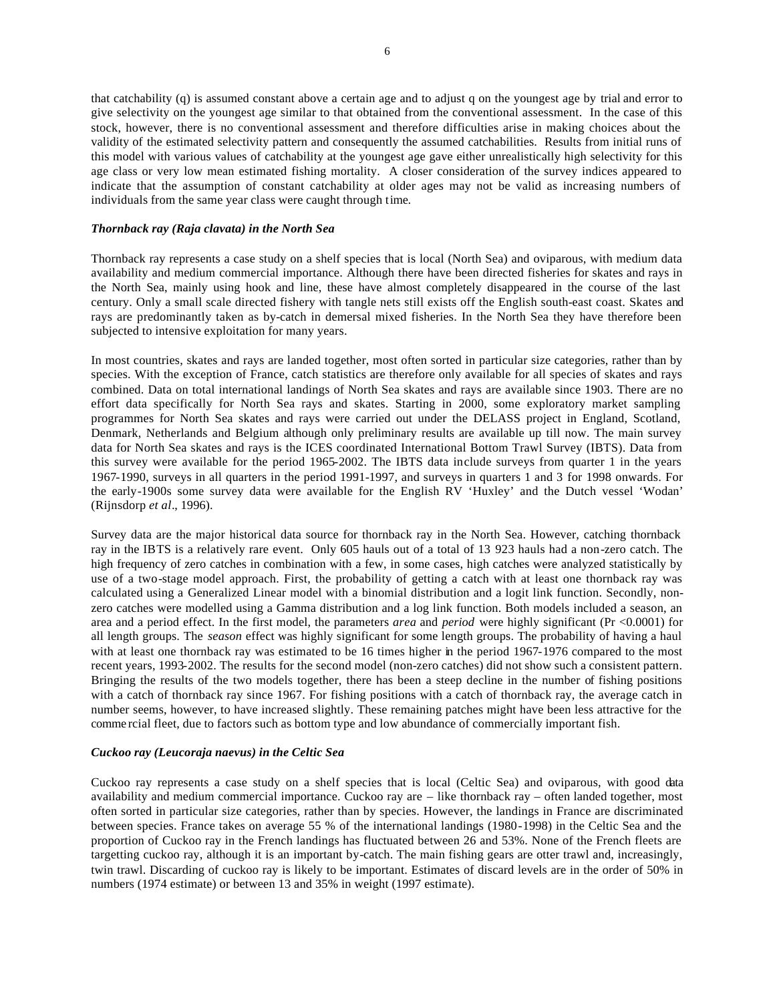that catchability (q) is assumed constant above a certain age and to adjust q on the youngest age by trial and error to give selectivity on the youngest age similar to that obtained from the conventional assessment. In the case of this stock, however, there is no conventional assessment and therefore difficulties arise in making choices about the validity of the estimated selectivity pattern and consequently the assumed catchabilities. Results from initial runs of this model with various values of catchability at the youngest age gave either unrealistically high selectivity for this age class or very low mean estimated fishing mortality. A closer consideration of the survey indices appeared to indicate that the assumption of constant catchability at older ages may not be valid as increasing numbers of individuals from the same year class were caught through time.

## *Thornback ray (Raja clavata) in the North Sea*

Thornback ray represents a case study on a shelf species that is local (North Sea) and oviparous, with medium data availability and medium commercial importance. Although there have been directed fisheries for skates and rays in the North Sea, mainly using hook and line, these have almost completely disappeared in the course of the last century. Only a small scale directed fishery with tangle nets still exists off the English south-east coast. Skates and rays are predominantly taken as by-catch in demersal mixed fisheries. In the North Sea they have therefore been subjected to intensive exploitation for many years.

In most countries, skates and rays are landed together, most often sorted in particular size categories, rather than by species. With the exception of France, catch statistics are therefore only available for all species of skates and rays combined. Data on total international landings of North Sea skates and rays are available since 1903. There are no effort data specifically for North Sea rays and skates. Starting in 2000, some exploratory market sampling programmes for North Sea skates and rays were carried out under the DELASS project in England, Scotland, Denmark, Netherlands and Belgium although only preliminary results are available up till now. The main survey data for North Sea skates and rays is the ICES coordinated International Bottom Trawl Survey (IBTS). Data from this survey were available for the period 1965-2002. The IBTS data include surveys from quarter 1 in the years 1967-1990, surveys in all quarters in the period 1991-1997, and surveys in quarters 1 and 3 for 1998 onwards. For the early-1900s some survey data were available for the English RV 'Huxley' and the Dutch vessel 'Wodan' (Rijnsdorp *et al*., 1996).

Survey data are the major historical data source for thornback ray in the North Sea. However, catching thornback ray in the IBTS is a relatively rare event. Only 605 hauls out of a total of 13 923 hauls had a non-zero catch. The high frequency of zero catches in combination with a few, in some cases, high catches were analyzed statistically by use of a two-stage model approach. First, the probability of getting a catch with at least one thornback ray was calculated using a Generalized Linear model with a binomial distribution and a logit link function. Secondly, nonzero catches were modelled using a Gamma distribution and a log link function. Both models included a season, an area and a period effect. In the first model, the parameters *area* and *period* were highly significant (Pr <0.0001) for all length groups. The *season* effect was highly significant for some length groups. The probability of having a haul with at least one thornback ray was estimated to be 16 times higher in the period 1967-1976 compared to the most recent years, 1993-2002. The results for the second model (non-zero catches) did not show such a consistent pattern. Bringing the results of the two models together, there has been a steep decline in the number of fishing positions with a catch of thornback ray since 1967. For fishing positions with a catch of thornback ray, the average catch in number seems, however, to have increased slightly. These remaining patches might have been less attractive for the comme rcial fleet, due to factors such as bottom type and low abundance of commercially important fish.

# *Cuckoo ray (Leucoraja naevus) in the Celtic Sea*

Cuckoo ray represents a case study on a shelf species that is local (Celtic Sea) and oviparous, with good data availability and medium commercial importance. Cuckoo ray are – like thornback ray – often landed together, most often sorted in particular size categories, rather than by species. However, the landings in France are discriminated between species. France takes on average 55 % of the international landings (1980-1998) in the Celtic Sea and the proportion of Cuckoo ray in the French landings has fluctuated between 26 and 53%. None of the French fleets are targetting cuckoo ray, although it is an important by-catch. The main fishing gears are otter trawl and, increasingly, twin trawl. Discarding of cuckoo ray is likely to be important. Estimates of discard levels are in the order of 50% in numbers (1974 estimate) or between 13 and 35% in weight (1997 estimate).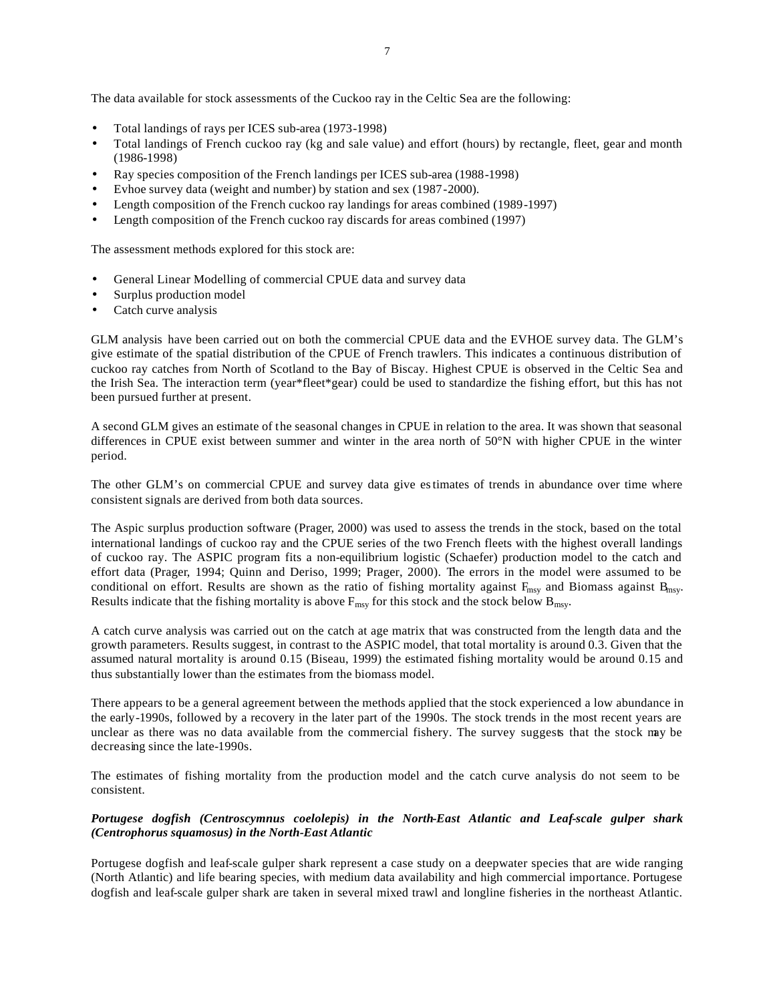The data available for stock assessments of the Cuckoo ray in the Celtic Sea are the following:

- Total landings of rays per ICES sub-area (1973-1998)
- Total landings of French cuckoo ray (kg and sale value) and effort (hours) by rectangle, fleet, gear and month (1986-1998)
- Ray species composition of the French landings per ICES sub-area (1988-1998)
- Evhoe survey data (weight and number) by station and sex (1987-2000).
- Length composition of the French cuckoo ray landings for areas combined (1989-1997)
- Length composition of the French cuckoo ray discards for areas combined (1997)

The assessment methods explored for this stock are:

- General Linear Modelling of commercial CPUE data and survey data
- Surplus production model
- Catch curve analysis

GLM analysis have been carried out on both the commercial CPUE data and the EVHOE survey data. The GLM's give estimate of the spatial distribution of the CPUE of French trawlers. This indicates a continuous distribution of cuckoo ray catches from North of Scotland to the Bay of Biscay. Highest CPUE is observed in the Celtic Sea and the Irish Sea. The interaction term (year\*fleet\*gear) could be used to standardize the fishing effort, but this has not been pursued further at present.

A second GLM gives an estimate of the seasonal changes in CPUE in relation to the area. It was shown that seasonal differences in CPUE exist between summer and winter in the area north of 50°N with higher CPUE in the winter period.

The other GLM's on commercial CPUE and survey data give estimates of trends in abundance over time where consistent signals are derived from both data sources.

The Aspic surplus production software (Prager, 2000) was used to assess the trends in the stock, based on the total international landings of cuckoo ray and the CPUE series of the two French fleets with the highest overall landings of cuckoo ray. The ASPIC program fits a non-equilibrium logistic (Schaefer) production model to the catch and effort data (Prager, 1994; Quinn and Deriso, 1999; Prager, 2000). The errors in the model were assumed to be conditional on effort. Results are shown as the ratio of fishing mortality against  $F_{\text{msy}}$  and Biomass against  $B_{\text{msy}}$ . Results indicate that the fishing mortality is above  $F_{\text{msy}}$  for this stock and the stock below  $B_{\text{msy}}$ .

A catch curve analysis was carried out on the catch at age matrix that was constructed from the length data and the growth parameters. Results suggest, in contrast to the ASPIC model, that total mortality is around 0.3. Given that the assumed natural mortality is around 0.15 (Biseau, 1999) the estimated fishing mortality would be around 0.15 and thus substantially lower than the estimates from the biomass model.

There appears to be a general agreement between the methods applied that the stock experienced a low abundance in the early-1990s, followed by a recovery in the later part of the 1990s. The stock trends in the most recent years are unclear as there was no data available from the commercial fishery. The survey suggests that the stock may be decreasing since the late-1990s.

The estimates of fishing mortality from the production model and the catch curve analysis do not seem to be consistent.

# *Portugese dogfish (Centroscymnus coelolepis) in the North-East Atlantic and Leaf-scale gulper shark (Centrophorus squamosus) in the North-East Atlantic*

Portugese dogfish and leaf-scale gulper shark represent a case study on a deepwater species that are wide ranging (North Atlantic) and life bearing species, with medium data availability and high commercial importance. Portugese dogfish and leaf-scale gulper shark are taken in several mixed trawl and longline fisheries in the northeast Atlantic.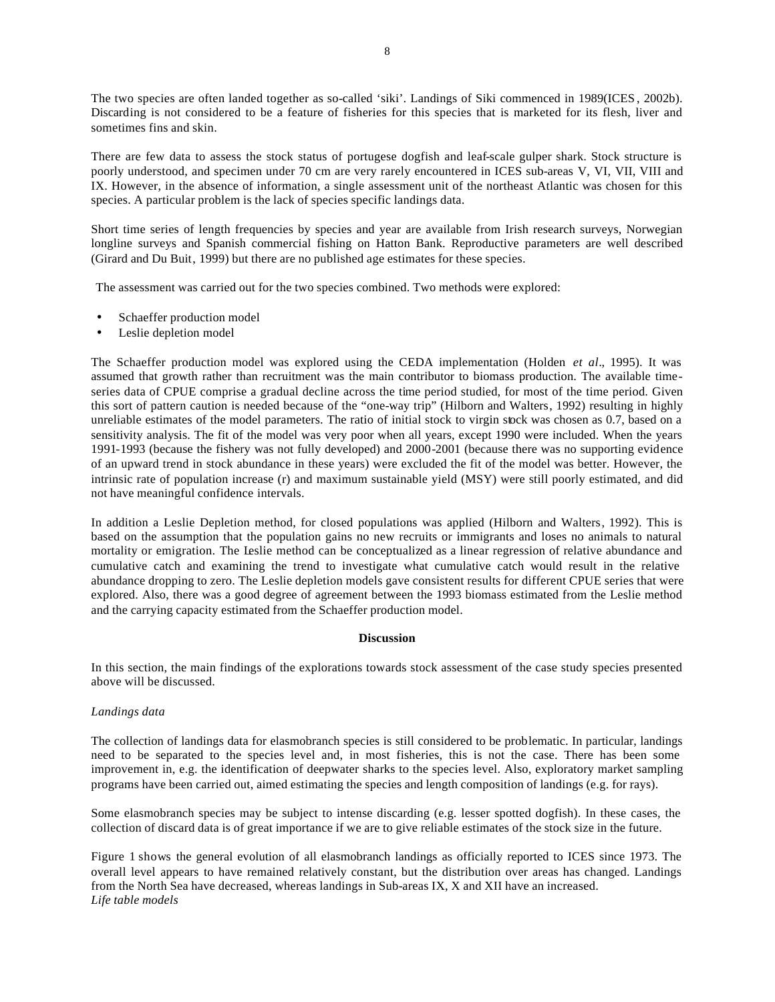The two species are often landed together as so-called 'siki'. Landings of Siki commenced in 1989(ICES , 2002b). Discarding is not considered to be a feature of fisheries for this species that is marketed for its flesh, liver and sometimes fins and skin.

There are few data to assess the stock status of portugese dogfish and leaf-scale gulper shark. Stock structure is poorly understood, and specimen under 70 cm are very rarely encountered in ICES sub-areas V, VI, VII, VIII and IX. However, in the absence of information, a single assessment unit of the northeast Atlantic was chosen for this species. A particular problem is the lack of species specific landings data.

Short time series of length frequencies by species and year are available from Irish research surveys, Norwegian longline surveys and Spanish commercial fishing on Hatton Bank. Reproductive parameters are well described (Girard and Du Buit, 1999) but there are no published age estimates for these species.

The assessment was carried out for the two species combined. Two methods were explored:

- Schaeffer production model
- Leslie depletion model

The Schaeffer production model was explored using the CEDA implementation (Holden *et al*., 1995). It was assumed that growth rather than recruitment was the main contributor to biomass production. The available timeseries data of CPUE comprise a gradual decline across the time period studied, for most of the time period. Given this sort of pattern caution is needed because of the "one-way trip" (Hilborn and Walters, 1992) resulting in highly unreliable estimates of the model parameters. The ratio of initial stock to virgin stock was chosen as 0.7, based on a sensitivity analysis. The fit of the model was very poor when all years, except 1990 were included. When the years 1991-1993 (because the fishery was not fully developed) and 2000-2001 (because there was no supporting evidence of an upward trend in stock abundance in these years) were excluded the fit of the model was better. However, the intrinsic rate of population increase (r) and maximum sustainable yield (MSY) were still poorly estimated, and did not have meaningful confidence intervals.

In addition a Leslie Depletion method, for closed populations was applied (Hilborn and Walters, 1992). This is based on the assumption that the population gains no new recruits or immigrants and loses no animals to natural mortality or emigration. The Leslie method can be conceptualized as a linear regression of relative abundance and cumulative catch and examining the trend to investigate what cumulative catch would result in the relative abundance dropping to zero. The Leslie depletion models gave consistent results for different CPUE series that were explored. Also, there was a good degree of agreement between the 1993 biomass estimated from the Leslie method and the carrying capacity estimated from the Schaeffer production model.

## **Discussion**

In this section, the main findings of the explorations towards stock assessment of the case study species presented above will be discussed.

## *Landings data*

The collection of landings data for elasmobranch species is still considered to be problematic. In particular, landings need to be separated to the species level and, in most fisheries, this is not the case. There has been some improvement in, e.g. the identification of deepwater sharks to the species level. Also, exploratory market sampling programs have been carried out, aimed estimating the species and length composition of landings (e.g. for rays).

Some elasmobranch species may be subject to intense discarding (e.g. lesser spotted dogfish). In these cases, the collection of discard data is of great importance if we are to give reliable estimates of the stock size in the future.

Figure 1 shows the general evolution of all elasmobranch landings as officially reported to ICES since 1973. The overall level appears to have remained relatively constant, but the distribution over areas has changed. Landings from the North Sea have decreased, whereas landings in Sub-areas IX, X and XII have an increased. *Life table models*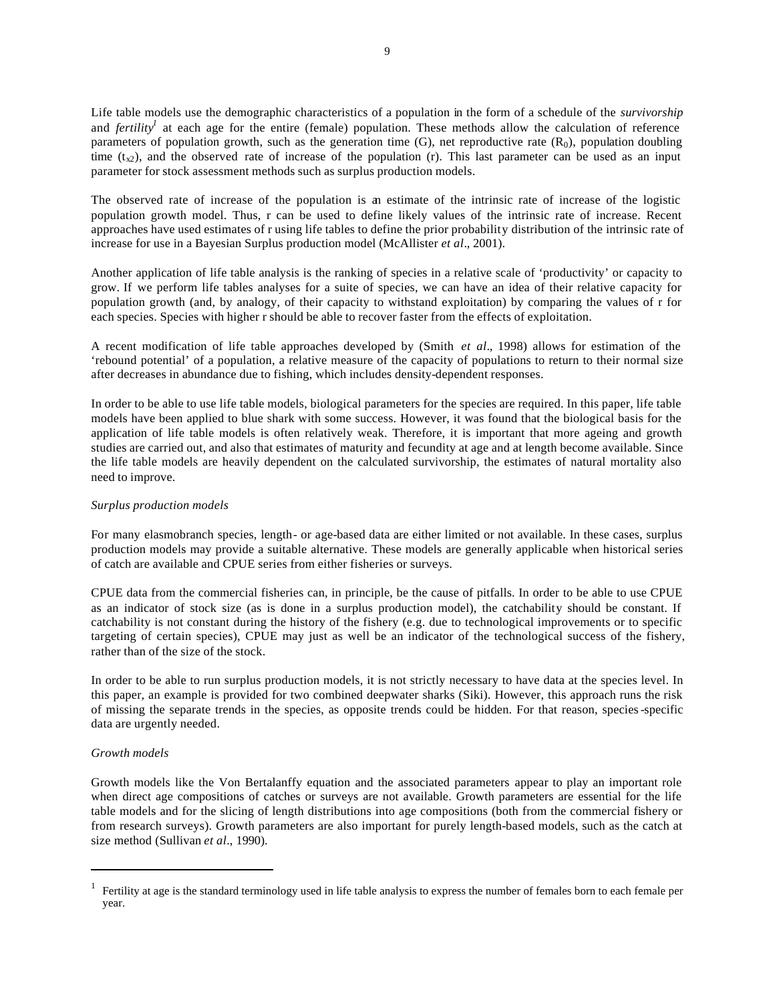Life table models use the demographic characteristics of a population in the form of a schedule of the *survivorship* and *fertility<sup>1</sup>* at each age for the entire (female) population. These methods allow the calculation of reference parameters of population growth, such as the generation time  $(G)$ , net reproductive rate  $(R_0)$ , population doubling time  $(t<sub>x2</sub>)$ , and the observed rate of increase of the population (r). This last parameter can be used as an input parameter for stock assessment methods such as surplus production models.

The observed rate of increase of the population is an estimate of the intrinsic rate of increase of the logistic population growth model. Thus, r can be used to define likely values of the intrinsic rate of increase. Recent approaches have used estimates of r using life tables to define the prior probability distribution of the intrinsic rate of increase for use in a Bayesian Surplus production model (McAllister *et al*., 2001).

Another application of life table analysis is the ranking of species in a relative scale of 'productivity' or capacity to grow. If we perform life tables analyses for a suite of species, we can have an idea of their relative capacity for population growth (and, by analogy, of their capacity to withstand exploitation) by comparing the values of r for each species. Species with higher r should be able to recover faster from the effects of exploitation.

A recent modification of life table approaches developed by (Smith *et al*., 1998) allows for estimation of the 'rebound potential' of a population, a relative measure of the capacity of populations to return to their normal size after decreases in abundance due to fishing, which includes density-dependent responses.

In order to be able to use life table models, biological parameters for the species are required. In this paper, life table models have been applied to blue shark with some success. However, it was found that the biological basis for the application of life table models is often relatively weak. Therefore, it is important that more ageing and growth studies are carried out, and also that estimates of maturity and fecundity at age and at length become available. Since the life table models are heavily dependent on the calculated survivorship, the estimates of natural mortality also need to improve.

## *Surplus production models*

For many elasmobranch species, length- or age-based data are either limited or not available. In these cases, surplus production models may provide a suitable alternative. These models are generally applicable when historical series of catch are available and CPUE series from either fisheries or surveys.

CPUE data from the commercial fisheries can, in principle, be the cause of pitfalls. In order to be able to use CPUE as an indicator of stock size (as is done in a surplus production model), the catchability should be constant. If catchability is not constant during the history of the fishery (e.g. due to technological improvements or to specific targeting of certain species), CPUE may just as well be an indicator of the technological success of the fishery, rather than of the size of the stock.

In order to be able to run surplus production models, it is not strictly necessary to have data at the species level. In this paper, an example is provided for two combined deepwater sharks (Siki). However, this approach runs the risk of missing the separate trends in the species, as opposite trends could be hidden. For that reason, species-specific data are urgently needed.

## *Growth models*

l

Growth models like the Von Bertalanffy equation and the associated parameters appear to play an important role when direct age compositions of catches or surveys are not available. Growth parameters are essential for the life table models and for the slicing of length distributions into age compositions (both from the commercial fishery or from research surveys). Growth parameters are also important for purely length-based models, such as the catch at size method (Sullivan *et al*., 1990).

 $<sup>1</sup>$  Fertility at age is the standard terminology used in life table analysis to express the number of females born to each female per</sup> year.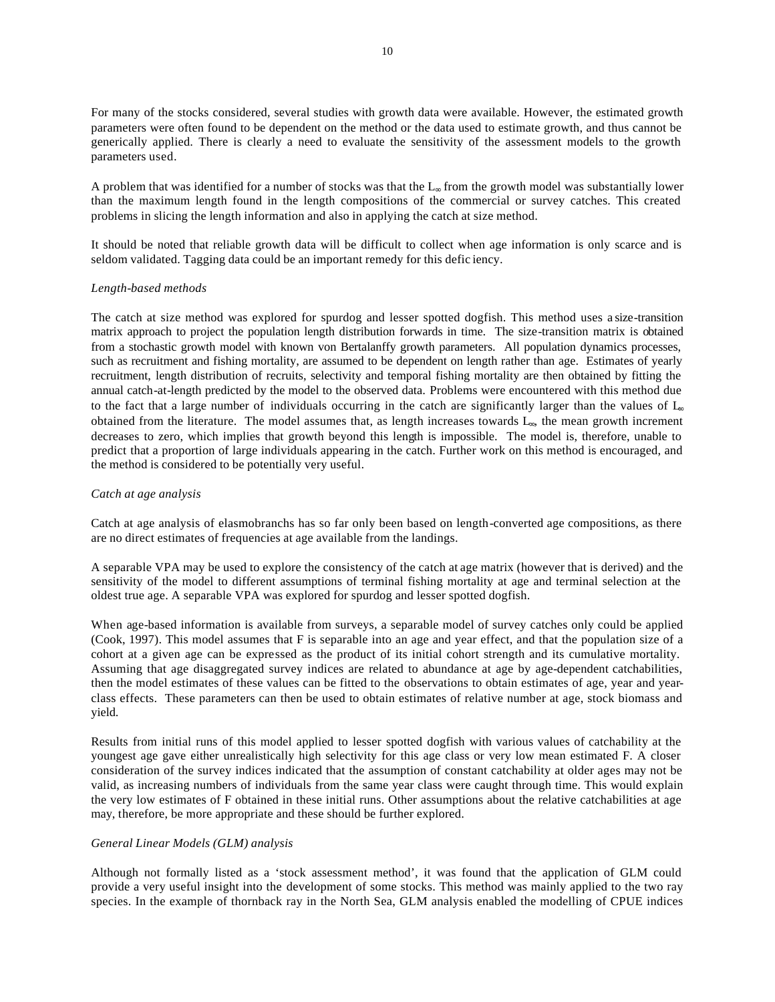For many of the stocks considered, several studies with growth data were available. However, the estimated growth parameters were often found to be dependent on the method or the data used to estimate growth, and thus cannot be generically applied. There is clearly a need to evaluate the sensitivity of the assessment models to the growth parameters used.

A problem that was identified for a number of stocks was that the L∞ from the growth model was substantially lower than the maximum length found in the length compositions of the commercial or survey catches. This created problems in slicing the length information and also in applying the catch at size method.

It should be noted that reliable growth data will be difficult to collect when age information is only scarce and is seldom validated. Tagging data could be an important remedy for this defic iency.

#### *Length-based methods*

The catch at size method was explored for spurdog and lesser spotted dogfish. This method uses a size-transition matrix approach to project the population length distribution forwards in time. The size-transition matrix is obtained from a stochastic growth model with known von Bertalanffy growth parameters. All population dynamics processes, such as recruitment and fishing mortality, are assumed to be dependent on length rather than age. Estimates of yearly recruitment, length distribution of recruits, selectivity and temporal fishing mortality are then obtained by fitting the annual catch-at-length predicted by the model to the observed data. Problems were encountered with this method due to the fact that a large number of individuals occurring in the catch are significantly larger than the values of  $I_{\infty}$ obtained from the literature. The model assumes that, as length increases towards L∞, the mean growth increment decreases to zero, which implies that growth beyond this length is impossible. The model is, therefore, unable to predict that a proportion of large individuals appearing in the catch. Further work on this method is encouraged, and the method is considered to be potentially very useful.

#### *Catch at age analysis*

Catch at age analysis of elasmobranchs has so far only been based on length-converted age compositions, as there are no direct estimates of frequencies at age available from the landings.

A separable VPA may be used to explore the consistency of the catch at age matrix (however that is derived) and the sensitivity of the model to different assumptions of terminal fishing mortality at age and terminal selection at the oldest true age. A separable VPA was explored for spurdog and lesser spotted dogfish.

When age-based information is available from surveys, a separable model of survey catches only could be applied (Cook, 1997). This model assumes that F is separable into an age and year effect, and that the population size of a cohort at a given age can be expressed as the product of its initial cohort strength and its cumulative mortality. Assuming that age disaggregated survey indices are related to abundance at age by age-dependent catchabilities, then the model estimates of these values can be fitted to the observations to obtain estimates of age, year and yearclass effects. These parameters can then be used to obtain estimates of relative number at age, stock biomass and yield.

Results from initial runs of this model applied to lesser spotted dogfish with various values of catchability at the youngest age gave either unrealistically high selectivity for this age class or very low mean estimated F. A closer consideration of the survey indices indicated that the assumption of constant catchability at older ages may not be valid, as increasing numbers of individuals from the same year class were caught through time. This would explain the very low estimates of F obtained in these initial runs. Other assumptions about the relative catchabilities at age may, therefore, be more appropriate and these should be further explored.

### *General Linear Models (GLM) analysis*

Although not formally listed as a 'stock assessment method', it was found that the application of GLM could provide a very useful insight into the development of some stocks. This method was mainly applied to the two ray species. In the example of thornback ray in the North Sea, GLM analysis enabled the modelling of CPUE indices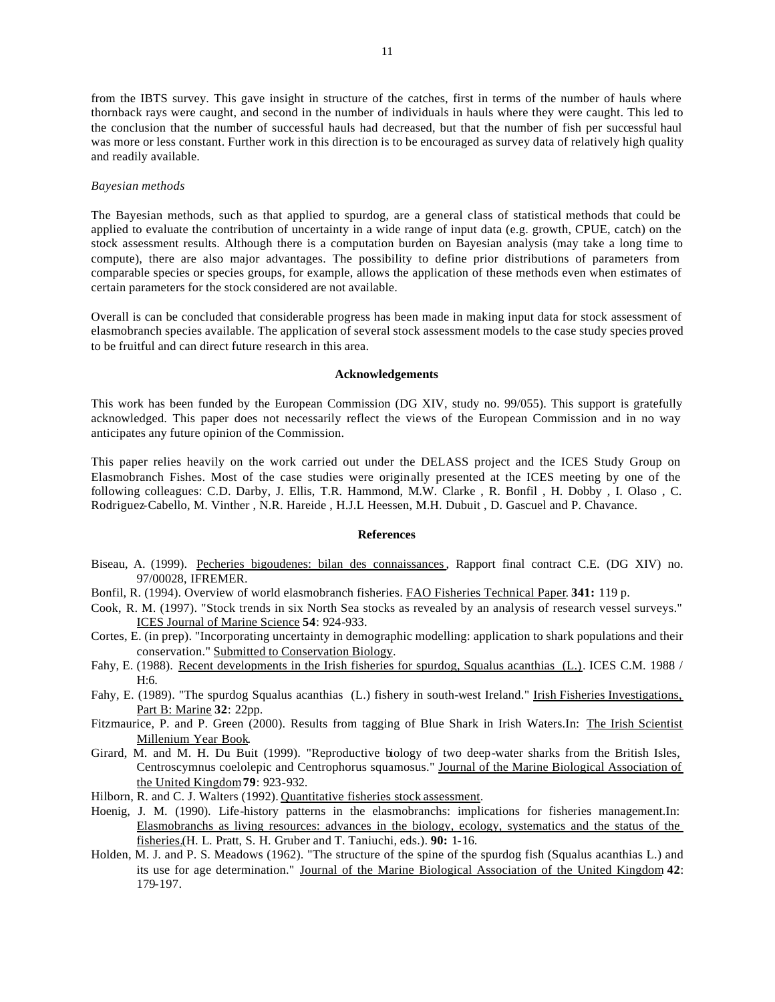from the IBTS survey. This gave insight in structure of the catches, first in terms of the number of hauls where thornback rays were caught, and second in the number of individuals in hauls where they were caught. This led to the conclusion that the number of successful hauls had decreased, but that the number of fish per successful haul was more or less constant. Further work in this direction is to be encouraged as survey data of relatively high quality and readily available.

#### *Bayesian methods*

The Bayesian methods, such as that applied to spurdog, are a general class of statistical methods that could be applied to evaluate the contribution of uncertainty in a wide range of input data (e.g. growth, CPUE, catch) on the stock assessment results. Although there is a computation burden on Bayesian analysis (may take a long time to compute), there are also major advantages. The possibility to define prior distributions of parameters from comparable species or species groups, for example, allows the application of these methods even when estimates of certain parameters for the stock considered are not available.

Overall is can be concluded that considerable progress has been made in making input data for stock assessment of elasmobranch species available. The application of several stock assessment models to the case study species proved to be fruitful and can direct future research in this area.

## **Acknowledgements**

This work has been funded by the European Commission (DG XIV, study no. 99/055). This support is gratefully acknowledged. This paper does not necessarily reflect the views of the European Commission and in no way anticipates any future opinion of the Commission.

This paper relies heavily on the work carried out under the DELASS project and the ICES Study Group on Elasmobranch Fishes. Most of the case studies were originally presented at the ICES meeting by one of the following colleagues: C.D. Darby, J. Ellis, T.R. Hammond, M.W. Clarke , R. Bonfil , H. Dobby , I. Olaso , C. Rodriguez-Cabello, M. Vinther , N.R. Hareide , H.J.L Heessen, M.H. Dubuit , D. Gascuel and P. Chavance.

## **References**

- Biseau, A. (1999). Pecheries bigoudenes: bilan des connaissances, Rapport final contract C.E. (DG XIV) no. 97/00028, IFREMER.
- Bonfil, R. (1994). Overview of world elasmobranch fisheries. FAO Fisheries Technical Paper. **341:** 119 p.
- Cook, R. M. (1997). "Stock trends in six North Sea stocks as revealed by an analysis of research vessel surveys." ICES Journal of Marine Science **54**: 924-933.
- Cortes, E. (in prep). "Incorporating uncertainty in demographic modelling: application to shark populations and their conservation." Submitted to Conservation Biology.
- Fahy, E. (1988). Recent developments in the Irish fisheries for spurdog, Squalus acanthias (L.). ICES C.M. 1988 / H:6.
- Fahy, E. (1989). "The spurdog Squalus acanthias (L.) fishery in south-west Ireland." Irish Fisheries Investigations, Part B: Marine **32**: 22pp.
- Fitzmaurice, P. and P. Green (2000). Results from tagging of Blue Shark in Irish Waters.In: The Irish Scientist Millenium Year Book.
- Girard, M. and M. H. Du Buit (1999). "Reproductive biology of two deep-water sharks from the British Isles, Centroscymnus coelolepic and Centrophorus squamosus." Journal of the Marine Biological Association of the United Kingdom**79**: 923-932.
- Hilborn, R. and C. J. Walters (1992). Quantitative fisheries stock assessment.
- Hoenig, J. M. (1990). Life-history patterns in the elasmobranchs: implications for fisheries management.In: Elasmobranchs as living resources: advances in the biology, ecology, systematics and the status of the fisheries.(H. L. Pratt, S. H. Gruber and T. Taniuchi, eds.). **90:** 1-16.
- Holden, M. J. and P. S. Meadows (1962). "The structure of the spine of the spurdog fish (Squalus acanthias L.) and its use for age determination." Journal of the Marine Biological Association of the United Kingdom **42**: 179-197.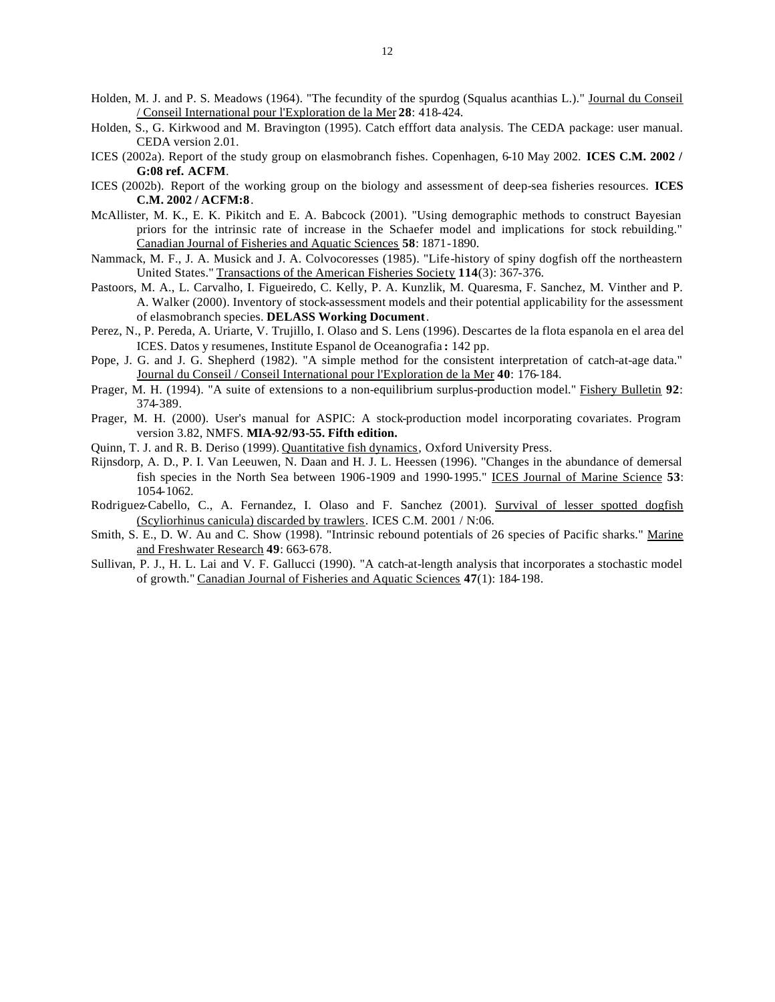- Holden, M. J. and P. S. Meadows (1964). "The fecundity of the spurdog (Squalus acanthias L.)." Journal du Conseil / Conseil International pour l'Exploration de la Mer **28**: 418-424.
- Holden, S., G. Kirkwood and M. Bravington (1995). Catch efffort data analysis. The CEDA package: user manual. CEDA version 2.01.
- ICES (2002a). Report of the study group on elasmobranch fishes. Copenhagen, 6-10 May 2002. **ICES C.M. 2002 / G:08 ref. ACFM**.
- ICES (2002b). Report of the working group on the biology and assessment of deep-sea fisheries resources. **ICES C.M. 2002 / ACFM:8**.
- McAllister, M. K., E. K. Pikitch and E. A. Babcock (2001). "Using demographic methods to construct Bayesian priors for the intrinsic rate of increase in the Schaefer model and implications for stock rebuilding." Canadian Journal of Fisheries and Aquatic Sciences **58**: 1871-1890.
- Nammack, M. F., J. A. Musick and J. A. Colvocoresses (1985). "Life-history of spiny dogfish off the northeastern United States." Transactions of the American Fisheries Society **114**(3): 367-376.
- Pastoors, M. A., L. Carvalho, I. Figueiredo, C. Kelly, P. A. Kunzlik, M. Quaresma, F. Sanchez, M. Vinther and P. A. Walker (2000). Inventory of stock-assessment models and their potential applicability for the assessment of elasmobranch species. **DELASS Working Document**.
- Perez, N., P. Pereda, A. Uriarte, V. Trujillo, I. Olaso and S. Lens (1996). Descartes de la flota espanola en el area del ICES. Datos y resumenes, Institute Espanol de Oceanografia **:** 142 pp.
- Pope, J. G. and J. G. Shepherd (1982). "A simple method for the consistent interpretation of catch-at-age data." Journal du Conseil / Conseil International pour l'Exploration de la Mer **40**: 176-184.
- Prager, M. H. (1994). "A suite of extensions to a non-equilibrium surplus-production model." Fishery Bulletin **92**: 374-389.
- Prager, M. H. (2000). User's manual for ASPIC: A stock-production model incorporating covariates. Program version 3.82, NMFS. **MIA-92/93-55. Fifth edition.**
- Quinn, T. J. and R. B. Deriso (1999). Quantitative fish dynamics, Oxford University Press.
- Rijnsdorp, A. D., P. I. Van Leeuwen, N. Daan and H. J. L. Heessen (1996). "Changes in the abundance of demersal fish species in the North Sea between 1906-1909 and 1990-1995." ICES Journal of Marine Science **53**: 1054-1062.
- Rodriguez-Cabello, C., A. Fernandez, I. Olaso and F. Sanchez (2001). Survival of lesser spotted dogfish (Scyliorhinus canicula) discarded by trawlers. ICES C.M. 2001 / N:06.
- Smith, S. E., D. W. Au and C. Show (1998). "Intrinsic rebound potentials of 26 species of Pacific sharks." Marine and Freshwater Research **49**: 663-678.
- Sullivan, P. J., H. L. Lai and V. F. Gallucci (1990). "A catch-at-length analysis that incorporates a stochastic model of growth." Canadian Journal of Fisheries and Aquatic Sciences **47**(1): 184-198.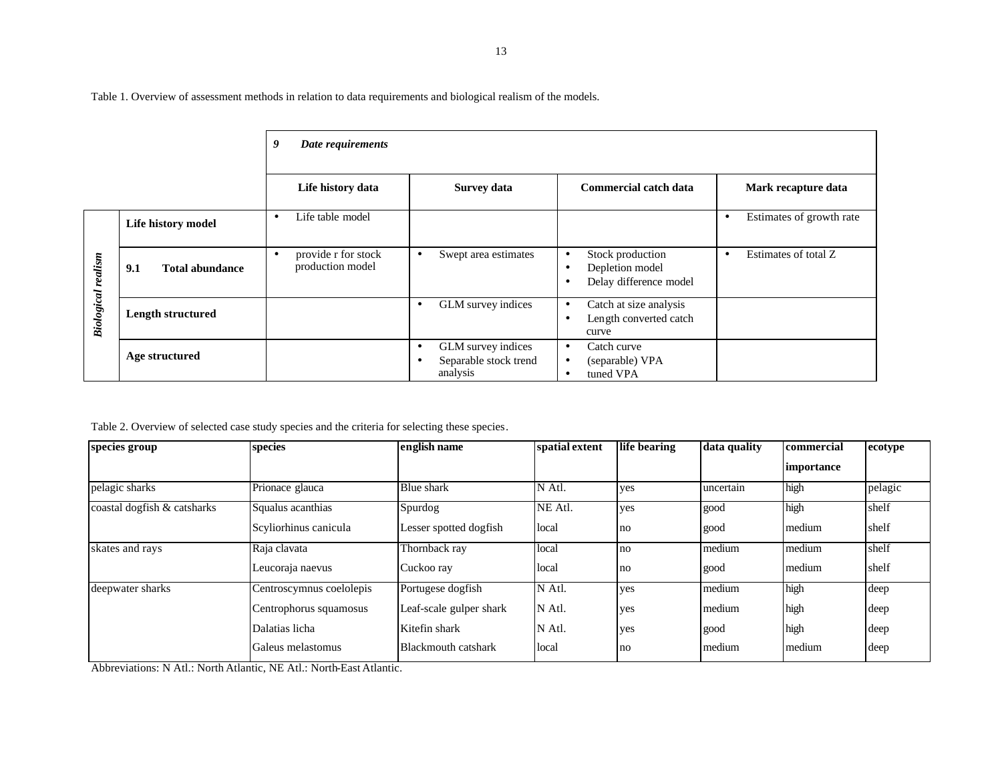Table 1. Overview of assessment methods in relation to data requirements and biological realism of the models.

|                           |                               | 9<br>Date requirements                       |                                                                                   |                                                                                                      |                                       |
|---------------------------|-------------------------------|----------------------------------------------|-----------------------------------------------------------------------------------|------------------------------------------------------------------------------------------------------|---------------------------------------|
|                           |                               | Life history data                            | <b>Survey data</b>                                                                | Commercial catch data                                                                                | Mark recapture data                   |
|                           | Life history model            | Life table model<br>$\bullet$                |                                                                                   |                                                                                                      | Estimates of growth rate<br>$\bullet$ |
| <b>Biological realism</b> | 9.1<br><b>Total abundance</b> | provide r for stock<br>٠<br>production model | Swept area estimates<br>$\bullet$                                                 | Stock production<br>$\bullet$<br>Depletion model<br>$\bullet$<br>Delay difference model<br>$\bullet$ | Estimates of total Z<br>$\bullet$     |
|                           | <b>Length structured</b>      |                                              | GLM survey indices<br>$\bullet$                                                   | Catch at size analysis<br>$\bullet$<br>Length converted catch<br>$\bullet$<br>curve                  |                                       |
|                           | Age structured                |                                              | GLM survey indices<br>$\bullet$<br>Separable stock trend<br>$\bullet$<br>analysis | Catch curve<br>$\bullet$<br>(separable) VPA<br>$\bullet$<br>tuned VPA<br>$\bullet$                   |                                       |

Table 2. Overview of selected case study species and the criteria for selecting these species.

| species group               | species                  | english name               | spatial extent | life bearing | data quality | commercial        | ecotype |
|-----------------------------|--------------------------|----------------------------|----------------|--------------|--------------|-------------------|---------|
|                             |                          |                            |                |              |              | <i>importance</i> |         |
| pelagic sharks              | Prionace glauca          | Blue shark                 | N Atl.         | yes          | uncertain    | high              | pelagic |
| coastal dogfish & catsharks | Squalus acanthias        | Spurdog                    | NE Atl.        | yes          | good         | high              | shelf   |
|                             | Scyliorhinus canicula    | Lesser spotted dogfish     | local          | no           | good         | medium            | shelf   |
| skates and rays             | Raja clavata             | Thornback ray              | local          | no           | medium       | medium            | shelf   |
|                             | Leucoraja naevus         | Cuckoo ray                 | local          | no           | good         | medium            | shelf   |
| deepwater sharks            | Centroscymnus coelolepis | Portugese dogfish          | N Atl.         | ves          | medium       | high              | deep    |
|                             | Centrophorus squamosus   | Leaf-scale gulper shark    | N Atl.         | yes          | medium       | high              | deep    |
|                             | Dalatias licha           | Kitefin shark              | N Atl.         | ves          | good         | high              | deep    |
|                             | Galeus melastomus        | <b>Blackmouth catshark</b> | local          | no           | medium       | medium            | deep    |

Abbreviations: N Atl.: North Atlantic, NE Atl.: North-East Atlantic.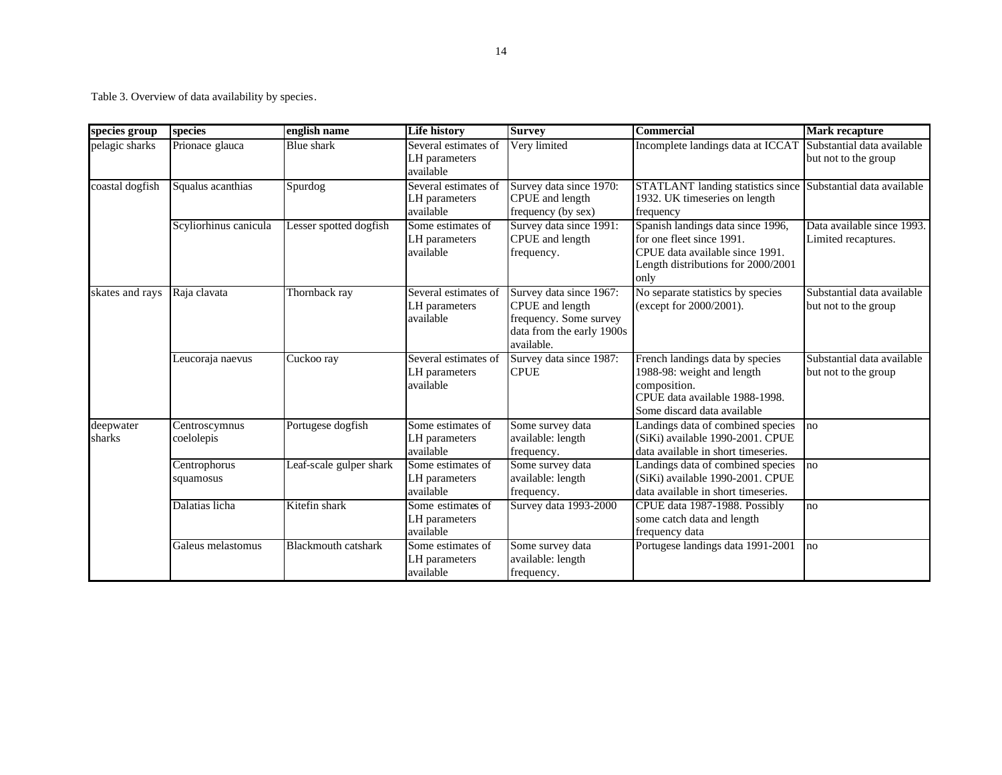Table 3. Overview of data availability by species.

| species group       | species                     | english name               | <b>Life history</b>                                | <b>Survey</b>                                                                                                   | <b>Commercial</b>                                                                                                                               | <b>Mark recapture</b>                              |
|---------------------|-----------------------------|----------------------------|----------------------------------------------------|-----------------------------------------------------------------------------------------------------------------|-------------------------------------------------------------------------------------------------------------------------------------------------|----------------------------------------------------|
| pelagic sharks      | Prionace glauca             | Blue shark                 | Several estimates of<br>LH parameters<br>available | Very limited                                                                                                    | Incomplete landings data at ICCAT                                                                                                               | Substantial data available<br>but not to the group |
| coastal dogfish     | Squalus acanthias           | Spurdog                    | Several estimates of<br>LH parameters<br>available | Survey data since 1970:<br>CPUE and length<br>frequency (by sex)                                                | STATLANT landing statistics since Substantial data available<br>1932. UK timeseries on length<br>frequency                                      |                                                    |
|                     | Scyliorhinus canicula       | Lesser spotted dogfish     | Some estimates of<br>LH parameters<br>available    | Survey data since 1991:<br>CPUE and length<br>frequency.                                                        | Spanish landings data since 1996,<br>for one fleet since 1991.<br>CPUE data available since 1991.<br>Length distributions for 2000/2001<br>only | Data available since 1993.<br>Limited recaptures.  |
| skates and rays     | Raja clavata                | Thornback ray              | Several estimates of<br>LH parameters<br>available | Survey data since 1967:<br>CPUE and length<br>frequency. Some survey<br>data from the early 1900s<br>available. | No separate statistics by species<br>(except for 2000/2001).                                                                                    | Substantial data available<br>but not to the group |
|                     | Leucoraja naevus            | Cuckoo ray                 | Several estimates of<br>LH parameters<br>available | Survey data since 1987:<br><b>CPUE</b>                                                                          | French landings data by species<br>1988-98: weight and length<br>composition.<br>CPUE data available 1988-1998.<br>Some discard data available  | Substantial data available<br>but not to the group |
| deepwater<br>sharks | Centroscymnus<br>coelolepis | Portugese dogfish          | Some estimates of<br>LH parameters<br>available    | Some survey data<br>available: length<br>frequency.                                                             | Landings data of combined species<br>(SiKi) available 1990-2001. CPUE<br>data available in short timeseries.                                    | no                                                 |
|                     | Centrophorus<br>squamosus   | Leaf-scale gulper shark    | Some estimates of<br>LH parameters<br>available    | Some survey data<br>available: length<br>frequency.                                                             | Landings data of combined species<br>(SiKi) available 1990-2001. CPUE<br>data available in short timeseries.                                    | no                                                 |
|                     | Dalatias licha              | Kitefin shark              | Some estimates of<br>LH parameters<br>available    | Survey data 1993-2000                                                                                           | CPUE data 1987-1988. Possibly<br>some catch data and length<br>frequency data                                                                   | no                                                 |
|                     | Galeus melastomus           | <b>Blackmouth catshark</b> | Some estimates of<br>LH parameters<br>available    | Some survey data<br>available: length<br>frequency.                                                             | Portugese landings data 1991-2001                                                                                                               | no                                                 |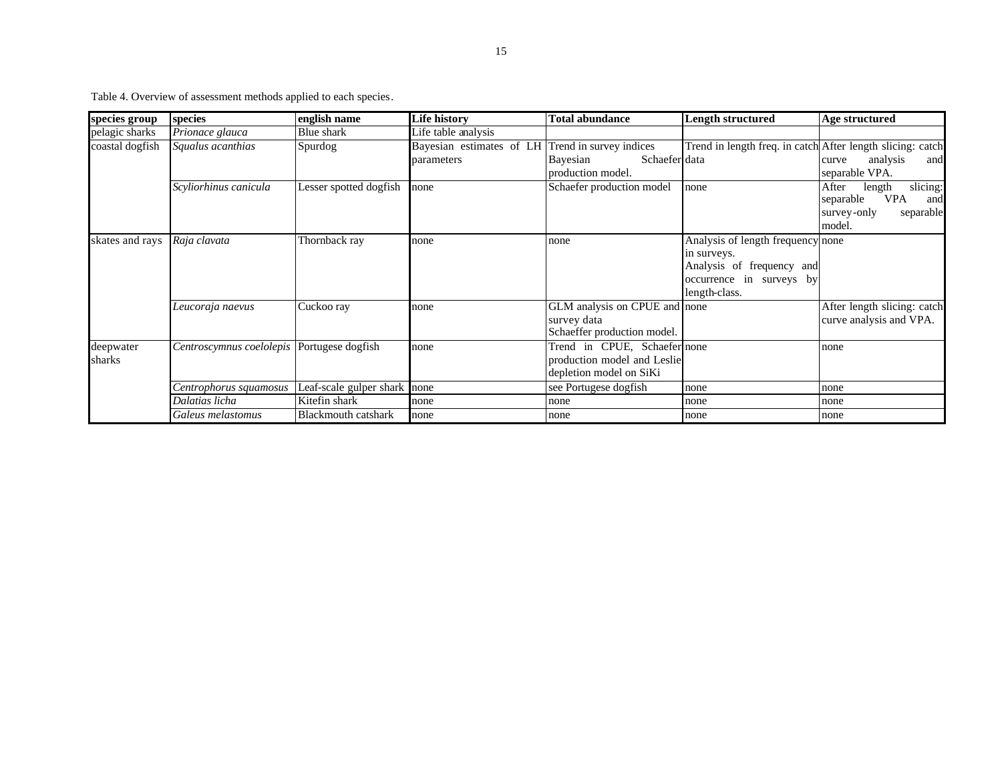Table 4. Overview of assessment methods applied to each species.

| species group   | species                                    | english name                 | <b>Life history</b>                              | Total abundance               | <b>Length structured</b>                                   | Age structured                 |
|-----------------|--------------------------------------------|------------------------------|--------------------------------------------------|-------------------------------|------------------------------------------------------------|--------------------------------|
| pelagic sharks  | Prionace glauca                            | Blue shark                   | Life table analysis                              |                               |                                                            |                                |
| coastal dogfish | Squalus acanthias                          | Spurdog                      | Bayesian estimates of LH Trend in survey indices |                               | Trend in length freq. in catch After length slicing: catch |                                |
|                 |                                            |                              | parameters                                       | Schaefer data<br>Bayesian     |                                                            | analysis<br>and<br>curve       |
|                 |                                            |                              |                                                  | production model.             |                                                            | separable VPA.                 |
|                 | Scyliorhinus canicula                      | Lesser spotted dogfish       | none                                             | Schaefer production model     | none                                                       | slicing:<br>After<br>length    |
|                 |                                            |                              |                                                  |                               |                                                            | separable<br><b>VPA</b><br>and |
|                 |                                            |                              |                                                  |                               |                                                            | survey-only<br>separable       |
|                 |                                            |                              |                                                  |                               |                                                            | model.                         |
| skates and rays | Raja clavata                               | Thornback ray                | none                                             | none                          | Analysis of length frequency none                          |                                |
|                 |                                            |                              |                                                  |                               | in surveys.                                                |                                |
|                 |                                            |                              |                                                  |                               | Analysis of frequency and                                  |                                |
|                 |                                            |                              |                                                  |                               | occurrence in surveys by                                   |                                |
|                 |                                            |                              |                                                  |                               | length-class.                                              |                                |
|                 | Leucoraja naevus                           | Cuckoo ray                   | none                                             | GLM analysis on CPUE and none |                                                            | After length slicing: catch    |
|                 |                                            |                              |                                                  | survey data                   |                                                            | curve analysis and VPA.        |
|                 |                                            |                              |                                                  | Schaeffer production model.   |                                                            |                                |
| deepwater       | Centroscymnus coelolepis Portugese dogfish |                              | none                                             | Trend in CPUE, Schaefer none  |                                                            | none                           |
| sharks          |                                            |                              |                                                  | production model and Leslie   |                                                            |                                |
|                 |                                            |                              |                                                  | depletion model on SiKi       |                                                            |                                |
|                 | Centrophorus squamosus                     | Leaf-scale gulper shark none |                                                  | see Portugese dogfish         | none                                                       | none                           |
|                 | Dalatias licha                             | Kitefin shark                | none                                             | none                          | none                                                       | none                           |
|                 | Galeus melastomus                          | Blackmouth catshark          | none                                             | none                          | none                                                       | none                           |